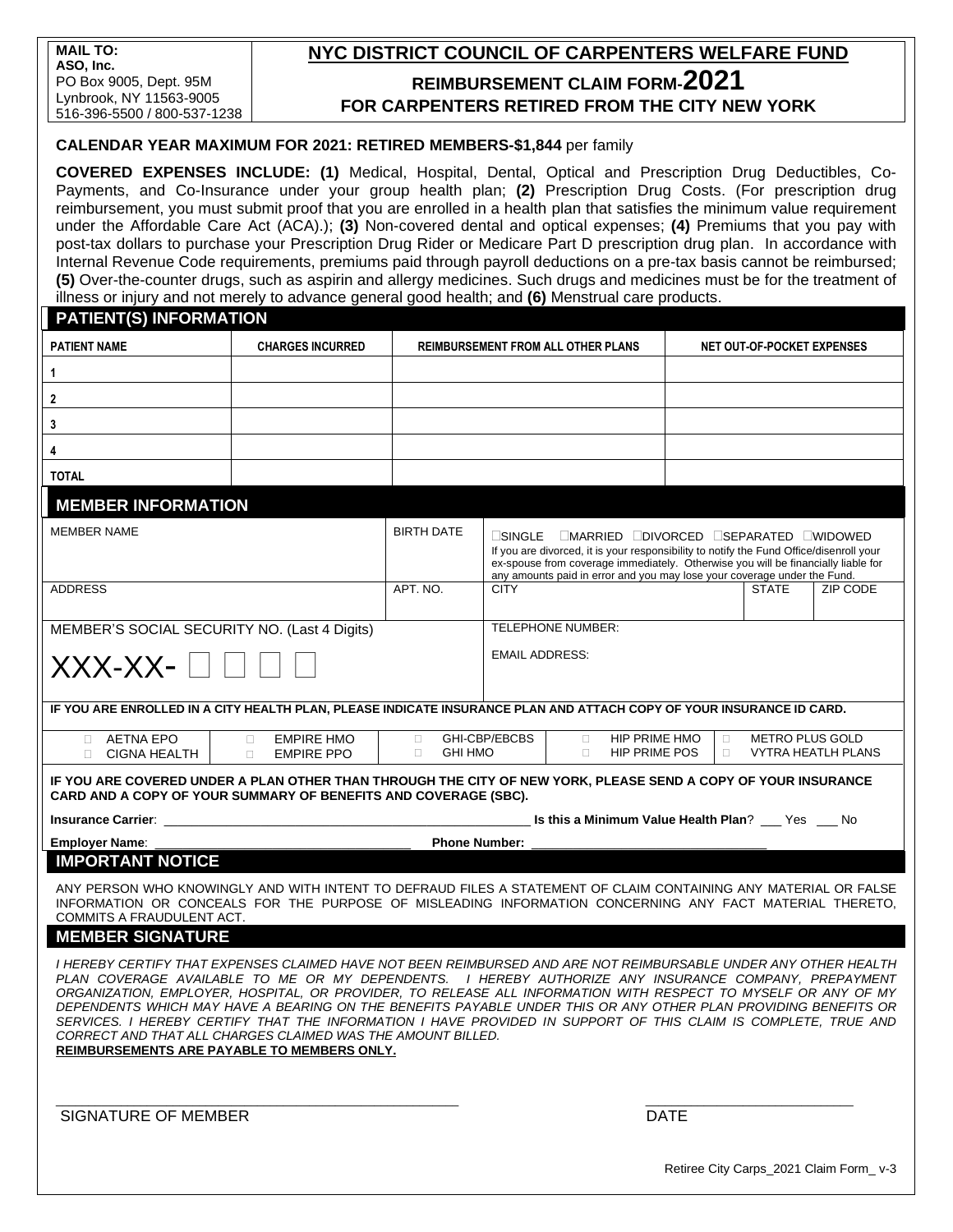# **NYC DISTRICT COUNCIL OF CARPENTERS WELFARE FUND REIMBURSEMENT CLAIM FORM-2021 FOR CARPENTERS RETIRED FROM THE CITY NEW YORK**

### **CALENDAR YEAR MAXIMUM FOR 2021: RETIRED MEMBERS-\$1,844** per family

**COVERED EXPENSES INCLUDE: (1)** Medical, Hospital, Dental, Optical and Prescription Drug Deductibles, Co-Payments, and Co-Insurance under your group health plan; **(2)** Prescription Drug Costs. (For prescription drug reimbursement, you must submit proof that you are enrolled in a health plan that satisfies the minimum value requirement under the Affordable Care Act (ACA).); **(3)** Non-covered dental and optical expenses; **(4)** Premiums that you pay with post-tax dollars to purchase your Prescription Drug Rider or Medicare Part D prescription drug plan. In accordance with Internal Revenue Code requirements, premiums paid through payroll deductions on a pre-tax basis cannot be reimbursed; **(5)** Over-the-counter drugs, such as aspirin and allergy medicines. Such drugs and medicines must be for the treatment of illness or injury and not merely to advance general good health; and **(6)** Menstrual care products.

### **PATIENT(S) INFORMATION**

| <b>PATIENT NAME</b>                                                                                                                                                                                                                                                                                                                                                                                                                                                                                                                                                                                                                                                                        | <b>CHARGES INCURRED</b> | <b>REIMBURSEMENT FROM ALL OTHER PLANS</b> |                                                                                                                                                                                                                                                                                                                    | NET OUT-OF-POCKET EXPENSES |          |
|--------------------------------------------------------------------------------------------------------------------------------------------------------------------------------------------------------------------------------------------------------------------------------------------------------------------------------------------------------------------------------------------------------------------------------------------------------------------------------------------------------------------------------------------------------------------------------------------------------------------------------------------------------------------------------------------|-------------------------|-------------------------------------------|--------------------------------------------------------------------------------------------------------------------------------------------------------------------------------------------------------------------------------------------------------------------------------------------------------------------|----------------------------|----------|
| $\mathbf{1}$                                                                                                                                                                                                                                                                                                                                                                                                                                                                                                                                                                                                                                                                               |                         |                                           |                                                                                                                                                                                                                                                                                                                    |                            |          |
| $\overline{2}$                                                                                                                                                                                                                                                                                                                                                                                                                                                                                                                                                                                                                                                                             |                         |                                           |                                                                                                                                                                                                                                                                                                                    |                            |          |
| $\mathbf{3}$                                                                                                                                                                                                                                                                                                                                                                                                                                                                                                                                                                                                                                                                               |                         |                                           |                                                                                                                                                                                                                                                                                                                    |                            |          |
| 4                                                                                                                                                                                                                                                                                                                                                                                                                                                                                                                                                                                                                                                                                          |                         |                                           |                                                                                                                                                                                                                                                                                                                    |                            |          |
| <b>TOTAL</b>                                                                                                                                                                                                                                                                                                                                                                                                                                                                                                                                                                                                                                                                               |                         |                                           |                                                                                                                                                                                                                                                                                                                    |                            |          |
| <b>MEMBER INFORMATION</b>                                                                                                                                                                                                                                                                                                                                                                                                                                                                                                                                                                                                                                                                  |                         |                                           |                                                                                                                                                                                                                                                                                                                    |                            |          |
| <b>MEMBER NAME</b>                                                                                                                                                                                                                                                                                                                                                                                                                                                                                                                                                                                                                                                                         |                         | <b>BIRTH DATE</b>                         | <b>ESINGLE EMARRIED EDIVORCED ESEPARATED LIWIDOWED</b><br>If you are divorced, it is your responsibility to notify the Fund Office/disenroll your<br>ex-spouse from coverage immediately. Otherwise you will be financially liable for<br>any amounts paid in error and you may lose your coverage under the Fund. |                            |          |
| <b>ADDRESS</b>                                                                                                                                                                                                                                                                                                                                                                                                                                                                                                                                                                                                                                                                             |                         | APT. NO.                                  | <b>CITY</b>                                                                                                                                                                                                                                                                                                        | <b>STATE</b>               | ZIP CODE |
| MEMBER'S SOCIAL SECURITY NO. (Last 4 Digits)<br>XXX-XX-                                                                                                                                                                                                                                                                                                                                                                                                                                                                                                                                                                                                                                    |                         |                                           | <b>TELEPHONE NUMBER:</b><br><b>EMAIL ADDRESS:</b>                                                                                                                                                                                                                                                                  |                            |          |
| IF YOU ARE ENROLLED IN A CITY HEALTH PLAN, PLEASE INDICATE INSURANCE PLAN AND ATTACH COPY OF YOUR INSURANCE ID CARD.                                                                                                                                                                                                                                                                                                                                                                                                                                                                                                                                                                       |                         |                                           |                                                                                                                                                                                                                                                                                                                    |                            |          |
| AETNA EPO<br><b>EMPIRE HMO</b><br>$\Box$<br><b>EMPIRE PPO</b><br><b>CIGNA HEALTH</b><br>$\Box$<br>$\Box$                                                                                                                                                                                                                                                                                                                                                                                                                                                                                                                                                                                   |                         | $\Box$<br>$\Box$<br><b>GHI HMO</b>        | GHI-CBP/EBCBS<br>HIP PRIME HMO<br><b>METRO PLUS GOLD</b><br>$\Box$<br>$\Box$<br>HIP PRIME POS<br>$\Box$<br>$\Box$<br>VYTRA HEATLH PLANS                                                                                                                                                                            |                            |          |
| IF YOU ARE COVERED UNDER A PLAN OTHER THAN THROUGH THE CITY OF NEW YORK, PLEASE SEND A COPY OF YOUR INSURANCE<br>CARD AND A COPY OF YOUR SUMMARY OF BENEFITS AND COVERAGE (SBC).                                                                                                                                                                                                                                                                                                                                                                                                                                                                                                           |                         |                                           |                                                                                                                                                                                                                                                                                                                    |                            |          |
|                                                                                                                                                                                                                                                                                                                                                                                                                                                                                                                                                                                                                                                                                            |                         |                                           |                                                                                                                                                                                                                                                                                                                    |                            |          |
| <b>Employer Name:</b><br><b>Phone Number:</b>                                                                                                                                                                                                                                                                                                                                                                                                                                                                                                                                                                                                                                              |                         |                                           |                                                                                                                                                                                                                                                                                                                    |                            |          |
| <b>IMPORTANT NOTICE</b>                                                                                                                                                                                                                                                                                                                                                                                                                                                                                                                                                                                                                                                                    |                         |                                           |                                                                                                                                                                                                                                                                                                                    |                            |          |
| ANY PERSON WHO KNOWINGLY AND WITH INTENT TO DEFRAUD FILES A STATEMENT OF CLAIM CONTAINING ANY MATERIAL OR FALSE<br>INFORMATION OR CONCEALS FOR THE PURPOSE OF MISLEADING INFORMATION CONCERNING ANY FACT MATERIAL THERETO.<br>COMMITS A FRAUDULENT ACT.                                                                                                                                                                                                                                                                                                                                                                                                                                    |                         |                                           |                                                                                                                                                                                                                                                                                                                    |                            |          |
| <b>MEMBER SIGNATURE</b>                                                                                                                                                                                                                                                                                                                                                                                                                                                                                                                                                                                                                                                                    |                         |                                           |                                                                                                                                                                                                                                                                                                                    |                            |          |
| I HEREBY CERTIFY THAT EXPENSES CLAIMED HAVE NOT BEEN REIMBURSED AND ARE NOT REIMBURSABLE UNDER ANY OTHER HEALTH<br>PLAN COVERAGE AVAILABLE TO ME OR MY DEPENDENTS. I HEREBY AUTHORIZE ANY INSURANCE COMPANY, PREPAYMENT<br>ORGANIZATION, EMPLOYER, HOSPITAL, OR PROVIDER, TO RELEASE ALL INFORMATION WITH RESPECT TO MYSELF OR ANY OF MY<br>DEPENDENTS WHICH MAY HAVE A BEARING ON THE BENEFITS PAYABLE UNDER THIS OR ANY OTHER PLAN PROVIDING BENEFITS OR<br>SERVICES. I HEREBY CERTIFY THAT THE INFORMATION I HAVE PROVIDED IN SUPPORT OF THIS CLAIM IS COMPLETE, TRUE AND<br>CORRECT AND THAT ALL CHARGES CLAIMED WAS THE AMOUNT BILLED.<br>REIMBURSEMENTS ARE PAYABLE TO MEMBERS ONLY. |                         |                                           |                                                                                                                                                                                                                                                                                                                    |                            |          |
| SIGNATURE OF MEMBER                                                                                                                                                                                                                                                                                                                                                                                                                                                                                                                                                                                                                                                                        |                         |                                           | <b>DATE</b>                                                                                                                                                                                                                                                                                                        |                            |          |

Retiree City Carps\_2021 Claim Form\_ v-3